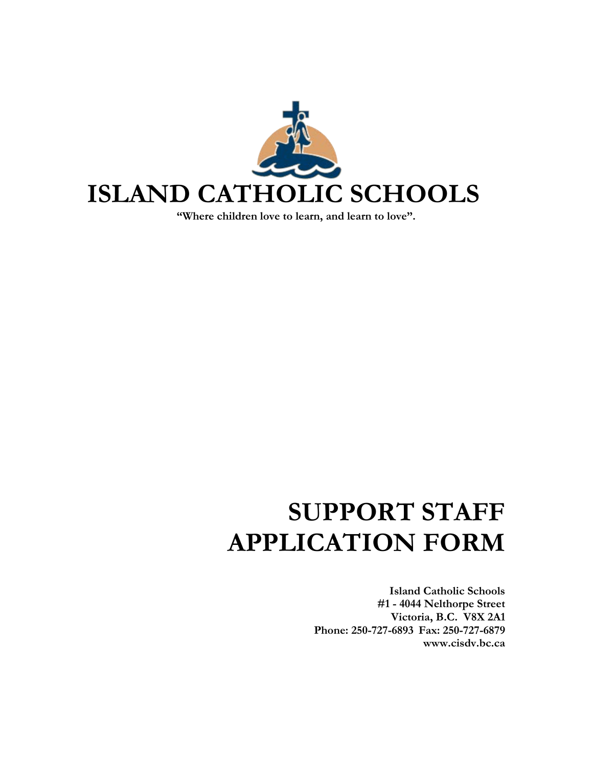

**"Where children love to learn, and learn to love".**

# **SUPPORT STAFF APPLICATION FORM**

**Island Catholic Schools #1 - 4044 Nelthorpe Street Victoria, B.C. V8X 2A1 Phone: 250-727-6893 Fax: 250-727-6879 www.cisdv.bc.ca**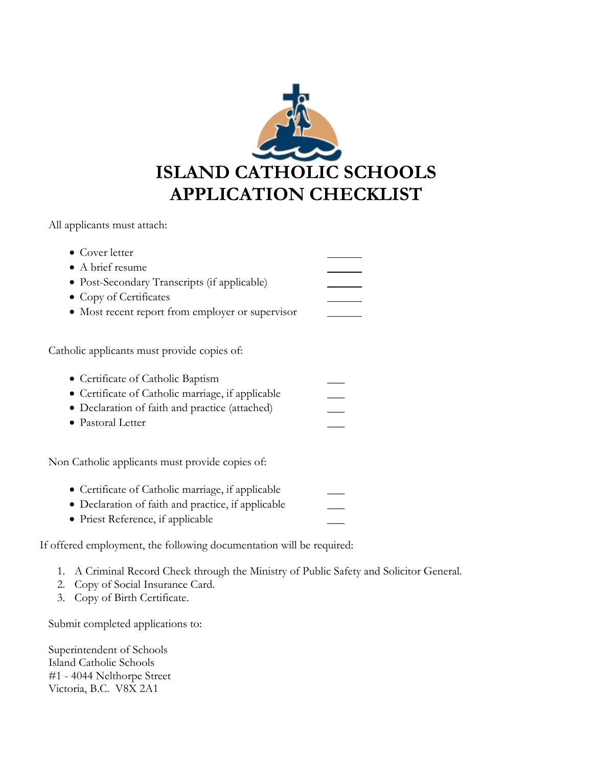

All applicants must attach:

| • Cover letter<br>$\bullet$ A brief resume<br>• Post-Secondary Transcripts (if applicable)<br>• Copy of Certificates<br>• Most recent report from employer or supervisor                                     |  |
|--------------------------------------------------------------------------------------------------------------------------------------------------------------------------------------------------------------|--|
| Catholic applicants must provide copies of:<br>• Certificate of Catholic Baptism<br>• Certificate of Catholic marriage, if applicable<br>• Declaration of faith and practice (attached)<br>• Pastoral Letter |  |
| Non Catholic applicants must provide copies of:<br>• Certificate of Catholic marriage, if applicable<br>• Declaration of faith and practice, if applicable                                                   |  |

• Priest Reference, if applicable

If offered employment, the following documentation will be required:

- 1. A Criminal Record Check through the Ministry of Public Safety and Solicitor General.
- 2. Copy of Social Insurance Card.
- 3. Copy of Birth Certificate.

Submit completed applications to:

Superintendent of Schools Island Catholic Schools #1 - 4044 Nelthorpe Street Victoria, B.C. V8X 2A1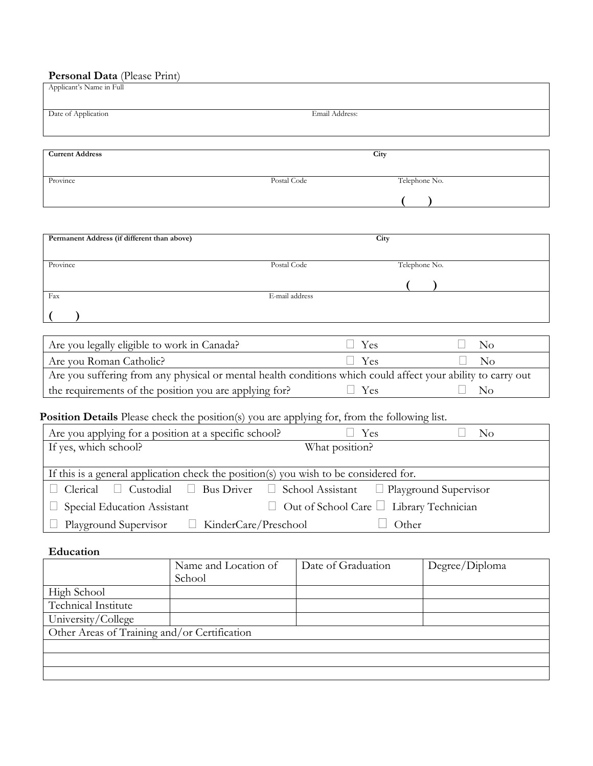## **Personal Data** (Please Print)

| Applicant's Name in Full                                                                                     |                           |                       |
|--------------------------------------------------------------------------------------------------------------|---------------------------|-----------------------|
| Date of Application                                                                                          | Email Address:            |                       |
| <b>Current Address</b>                                                                                       | City                      |                       |
|                                                                                                              |                           |                       |
| Province<br>Postal Code                                                                                      | Telephone No.             |                       |
|                                                                                                              |                           |                       |
|                                                                                                              |                           |                       |
| Permanent Address (if different than above)                                                                  | City                      |                       |
| Province<br>Postal Code                                                                                      | Telephone No.             |                       |
|                                                                                                              |                           |                       |
| E-mail address<br>Fax                                                                                        |                           |                       |
|                                                                                                              |                           |                       |
| Are you legally eligible to work in Canada?                                                                  | Yes                       | $\rm No$              |
| Are you Roman Catholic?                                                                                      | Yes                       | No                    |
| Are you suffering from any physical or mental health conditions which could affect your ability to carry out |                           |                       |
| the requirements of the position you are applying for?                                                       | Yes                       | $\rm No$              |
| Position Details Please check the position(s) you are applying for, from the following list.                 |                           |                       |
| Are you applying for a position at a specific school?                                                        | Yes                       | $\rm No$              |
| If yes, which school?                                                                                        | What position?            |                       |
| If this is a general application check the position(s) you wish to be considered for.                        |                           |                       |
| Clerical<br><b>Bus Driver</b><br>Custodial<br>$\Box$                                                         | School Assistant          | Playground Supervisor |
| Special Education Assistant                                                                                  | Out of School Care $\Box$ | Library Technician    |
| KinderCare/Preschool<br>Playground Supervisor                                                                | Other                     |                       |

### **Education**

|                                              | Name and Location of | Date of Graduation | Degree/Diploma |
|----------------------------------------------|----------------------|--------------------|----------------|
|                                              | School               |                    |                |
| High School                                  |                      |                    |                |
| Technical Institute                          |                      |                    |                |
| University/College                           |                      |                    |                |
| Other Areas of Training and/or Certification |                      |                    |                |
|                                              |                      |                    |                |
|                                              |                      |                    |                |
|                                              |                      |                    |                |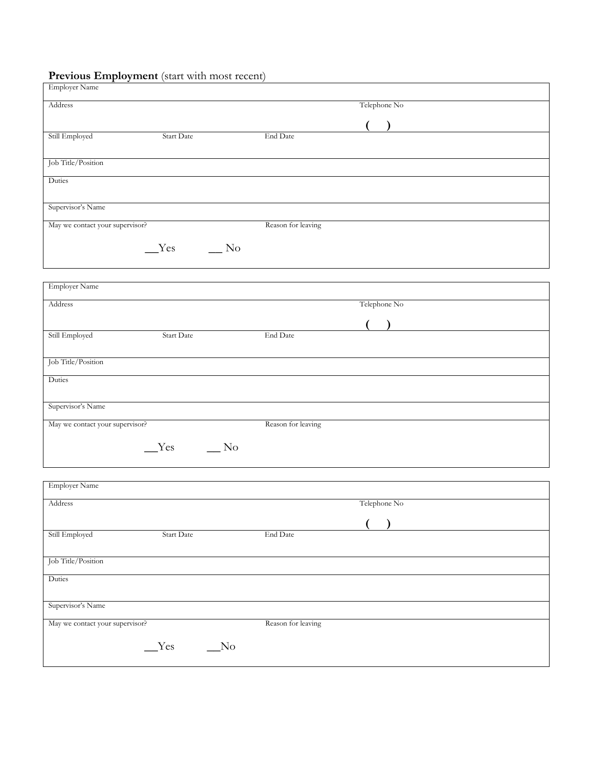#### **Previous Employment** (start with most recent)

| <b>Employer Name</b>            |            |            |                    |               |  |
|---------------------------------|------------|------------|--------------------|---------------|--|
| Address                         |            |            |                    | Telephone No  |  |
|                                 |            |            |                    | $\lambda$     |  |
| Still Employed                  | Start Date |            | End Date           |               |  |
| Job Title/Position              |            |            |                    |               |  |
| Duties                          |            |            |                    |               |  |
| Supervisor's Name               |            |            |                    |               |  |
| May we contact your supervisor? |            |            | Reason for leaving |               |  |
|                                 | $Yes$ No   |            |                    |               |  |
| <b>Employer Name</b>            |            |            |                    |               |  |
| Address                         |            |            |                    | Telephone No  |  |
|                                 |            |            |                    | $\rightarrow$ |  |
| Still Employed                  | Start Date |            | End Date           |               |  |
| Job Title/Position              |            |            |                    |               |  |
| Duties                          |            |            |                    |               |  |
| Supervisor's Name               |            |            |                    |               |  |
| May we contact your supervisor? |            |            | Reason for leaving |               |  |
|                                 | $Yes$ No   |            |                    |               |  |
| <b>Employer Name</b>            |            |            |                    |               |  |
| Address                         |            |            |                    | Telephone No  |  |
|                                 |            |            |                    |               |  |
| Still Employed                  | Start Date |            | End Date           |               |  |
| Job Title/Position              |            |            |                    |               |  |
| Duties                          |            |            |                    |               |  |
| Supervisor's Name               |            |            |                    |               |  |
| May we contact your supervisor? |            |            | Reason for leaving |               |  |
|                                 | $Y$ es     | $\sqrt{N}$ |                    |               |  |
|                                 |            |            |                    |               |  |